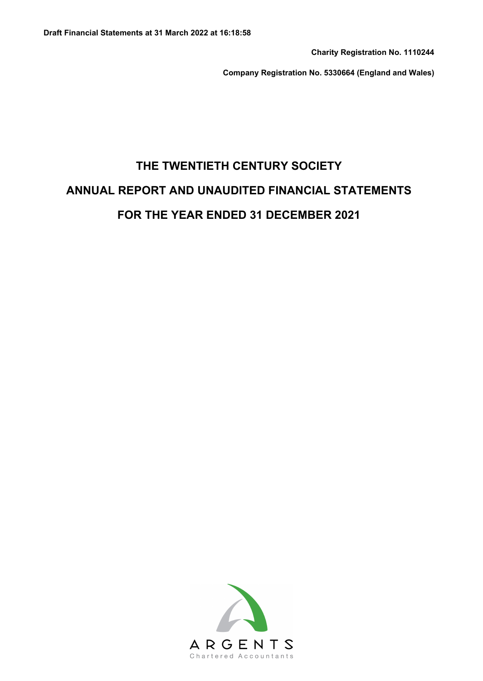**Charity Registration No. 1110244**

**Company Registration No. 5330664 (England and Wales)**

# **THE TWENTIETH CENTURY SOCIETY ANNUAL REPORT AND UNAUDITED FINANCIAL STATEMENTS FOR THE YEAR ENDED 31 DECEMBER 2021**

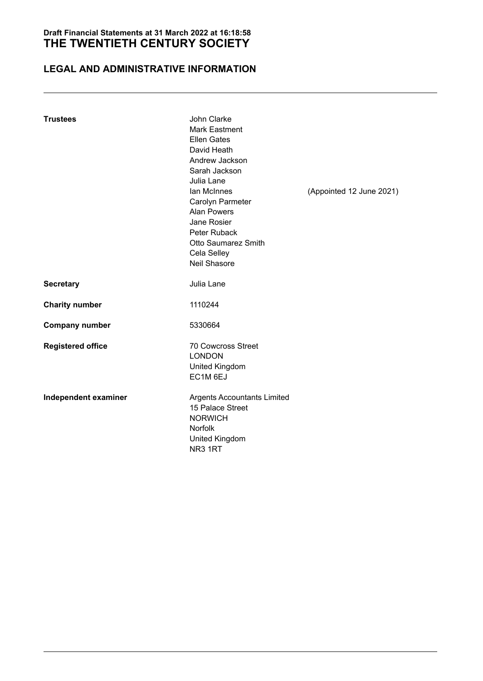# **LEGAL AND ADMINISTRATIVE INFORMATION**

| <b>Trustees</b>          | John Clarke<br><b>Mark Eastment</b><br><b>Ellen Gates</b><br>David Heath<br>Andrew Jackson<br>Sarah Jackson<br>Julia Lane<br>lan McInnes<br>Carolyn Parmeter<br><b>Alan Powers</b><br>Jane Rosier<br>Peter Ruback<br><b>Otto Saumarez Smith</b><br>Cela Selley<br>Neil Shasore | (Appointed 12 June 2021) |
|--------------------------|--------------------------------------------------------------------------------------------------------------------------------------------------------------------------------------------------------------------------------------------------------------------------------|--------------------------|
| <b>Secretary</b>         | Julia Lane                                                                                                                                                                                                                                                                     |                          |
| <b>Charity number</b>    | 1110244                                                                                                                                                                                                                                                                        |                          |
| <b>Company number</b>    | 5330664                                                                                                                                                                                                                                                                        |                          |
| <b>Registered office</b> | <b>70 Cowcross Street</b><br><b>LONDON</b><br><b>United Kingdom</b><br>EC1M 6EJ                                                                                                                                                                                                |                          |
| Independent examiner     | <b>Argents Accountants Limited</b><br>15 Palace Street<br><b>NORWICH</b><br><b>Norfolk</b><br>United Kingdom<br>NR <sub>3</sub> 1RT                                                                                                                                            |                          |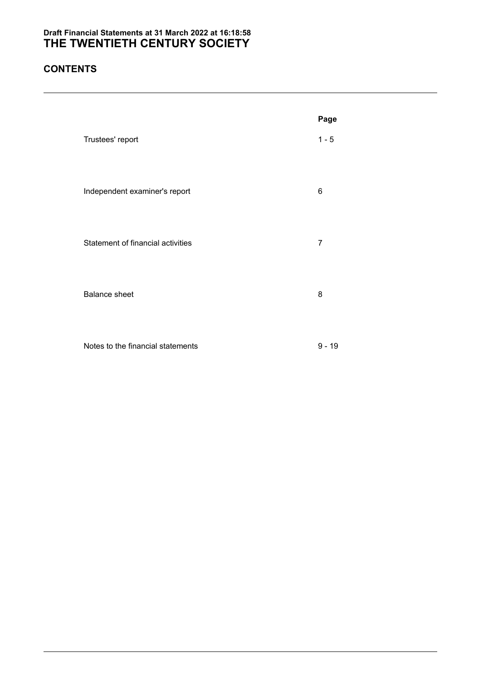# **CONTENTS**

|                                   | Page           |
|-----------------------------------|----------------|
| Trustees' report                  | $1 - 5$        |
| Independent examiner's report     | 6              |
| Statement of financial activities | $\overline{7}$ |
| <b>Balance sheet</b>              | 8              |

Notes to the financial statements 9 - 19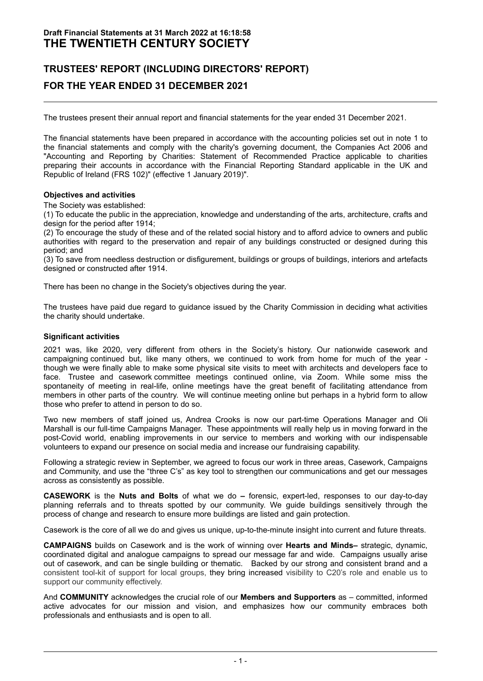# **TRUSTEES' REPORT (INCLUDING DIRECTORS' REPORT) FOR THE YEAR ENDED 31 DECEMBER 2021**

The trustees present their annual report and financial statements for the year ended 31 December 2021.

The financial statements have been prepared in accordance with the accounting policies set out in note 1 to the financial statements and comply with the charity's governing document, the Companies Act 2006 and "Accounting and Reporting by Charities: Statement of Recommended Practice applicable to charities preparing their accounts in accordance with the Financial Reporting Standard applicable in the UK and Republic of Ireland (FRS 102)" (effective 1 January 2019)".

#### **Objectives and activities**

The Society was established:

(1) To educate the public in the appreciation, knowledge and understanding of the arts, architecture, crafts and design for the period after 1914;

(2) To encourage the study of these and of the related social history and to afford advice to owners and public authorities with regard to the preservation and repair of any buildings constructed or designed during this period; and

(3) To save from needless destruction or disfigurement, buildings or groups of buildings, interiors and artefacts designed or constructed after 1914.

There has been no change in the Society's objectives during the year.

The trustees have paid due regard to guidance issued by the Charity Commission in deciding what activities the charity should undertake.

#### **Significant activities**

2021 was, like 2020, very different from others in the Society's history. Our nationwide casework and campaigning continued but, like many others, we continued to work from home for much of the year though we were finally able to make some physical site visits to meet with architects and developers face to face. Trustee and casework committee meetings continued online, via Zoom. While some miss the spontaneity of meeting in real-life, online meetings have the great benefit of facilitating attendance from members in other parts of the country. We will continue meeting online but perhaps in a hybrid form to allow those who prefer to attend in person to do so.

Two new members of staff joined us, Andrea Crooks is now our part-time Operations Manager and Oli Marshall is our full-time Campaigns Manager. These appointments will really help us in moving forward in the post-Covid world, enabling improvements in our service to members and working with our indispensable volunteers to expand our presence on social media and increase our fundraising capability.

Following a strategic review in September, we agreed to focus our work in three areas, Casework, Campaigns and Community, and use the "three C's" as key tool to strengthen our communications and get our messages across as consistently as possible.

**CASEWORK** is the **Nuts and Bolts** of what we do **–** forensic, expert-led, responses to our day-to-day planning referrals and to threats spotted by our community. We guide buildings sensitively through the process of change and research to ensure more buildings are listed and gain protection.

Casework is the core of all we do and gives us unique, up-to-the-minute insight into current and future threats.

**CAMPAIGNS** builds on Casework and is the work of winning over **Hearts and Minds–** strategic, dynamic, coordinated digital and analogue campaigns to spread our message far and wide. Campaigns usually arise out of casework, and can be single building or thematic. Backed by our strong and consistent brand and a consistent tool-kit of support for local groups, they bring increased visibility to C20's role and enable us to support our community effectively.

And **COMMUNITY** acknowledges the crucial role of our **Members and Supporters** as – committed, informed active advocates for our mission and vision, and emphasizes how our community embraces both professionals and enthusiasts and is open to all.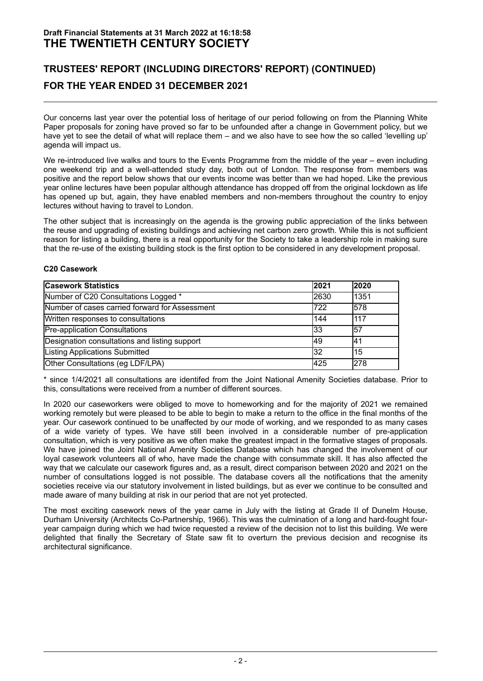# **TRUSTEES' REPORT (INCLUDING DIRECTORS' REPORT) (CONTINUED) FOR THE YEAR ENDED 31 DECEMBER 2021**

Our concerns last year over the potential loss of heritage of our period following on from the Planning White Paper proposals for zoning have proved so far to be unfounded after a change in Government policy, but we have yet to see the detail of what will replace them – and we also have to see how the so called 'levelling up' agenda will impact us.

We re-introduced live walks and tours to the Events Programme from the middle of the year – even including one weekend trip and a well-attended study day, both out of London. The response from members was positive and the report below shows that our events income was better than we had hoped. Like the previous year online lectures have been popular although attendance has dropped off from the original lockdown as life has opened up but, again, they have enabled members and non-members throughout the country to enjoy lectures without having to travel to London.

The other subject that is increasingly on the agenda is the growing public appreciation of the links between the reuse and upgrading of existing buildings and achieving net carbon zero growth. While this is not sufficient reason for listing a building, there is a real opportunity for the Society to take a leadership role in making sure that the re-use of the existing building stock is the first option to be considered in any development proposal.

#### **C20 Casework**

| <b>Casework Statistics</b>                     | 2021 | 2020       |
|------------------------------------------------|------|------------|
| Number of C20 Consultations Logged *           | 2630 | 1351       |
| Number of cases carried forward for Assessment | 722  | 578        |
| Written responses to consultations             | 144  | <b>117</b> |
| <b>Pre-application Consultations</b>           | 33   | 157        |
| Designation consultations and listing support  | 49   | 41         |
| <b>Listing Applications Submitted</b>          | 32   | 15         |
| Other Consultations (eg LDF/LPA)               | 425  | 278        |

\* since 1/4/2021 all consultations are identifed from the Joint National Amenity Societies database. Prior to this, consultations were received from a number of different sources.

In 2020 our caseworkers were obliged to move to homeworking and for the majority of 2021 we remained working remotely but were pleased to be able to begin to make a return to the office in the final months of the year. Our casework continued to be unaffected by our mode of working, and we responded to as many cases of a wide variety of types. We have still been involved in a considerable number of pre-application consultation, which is very positive as we often make the greatest impact in the formative stages of proposals. We have joined the Joint National Amenity Societies Database which has changed the involvement of our loyal casework volunteers all of who, have made the change with consummate skill. It has also affected the way that we calculate our casework figures and, as a result, direct comparison between 2020 and 2021 on the number of consultations logged is not possible. The database covers all the notifications that the amenity societies receive via our statutory involvement in listed buildings, but as ever we continue to be consulted and made aware of many building at risk in our period that are not yet protected.

The most exciting casework news of the year came in July with the listing at Grade II of Dunelm House, Durham University (Architects Co-Partnership, 1966). This was the culmination of a long and hard-fought fouryear campaign during which we had twice requested a review of the decision not to list this building. We were delighted that finally the Secretary of State saw fit to overturn the previous decision and recognise its architectural significance.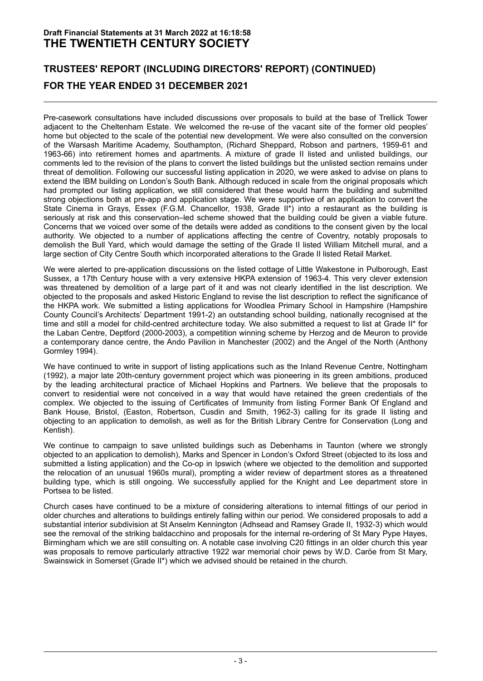# **TRUSTEES' REPORT (INCLUDING DIRECTORS' REPORT) (CONTINUED) FOR THE YEAR ENDED 31 DECEMBER 2021**

Pre-casework consultations have included discussions over proposals to build at the base of Trellick Tower adjacent to the Cheltenham Estate. We welcomed the re-use of the vacant site of the former old peoples' home but objected to the scale of the potential new development. We were also consulted on the conversion of the Warsash Maritime Academy, Southampton, (Richard Sheppard, Robson and partners, 1959-61 and 1963-66) into retirement homes and apartments. A mixture of grade II listed and unlisted buildings, our comments led to the revision of the plans to convert the listed buildings but the unlisted section remains under threat of demolition. Following our successful listing application in 2020, we were asked to advise on plans to extend the IBM building on London's South Bank. Although reduced in scale from the original proposals which had prompted our listing application, we still considered that these would harm the building and submitted strong objections both at pre-app and application stage. We were supportive of an application to convert the State Cinema in Grays, Essex (F.G.M. Chancellor, 1938, Grade II\*) into a restaurant as the building is seriously at risk and this conservation–led scheme showed that the building could be given a viable future. Concerns that we voiced over some of the details were added as conditions to the consent given by the local authority. We objected to a number of applications affecting the centre of Coventry, notably proposals to demolish the Bull Yard, which would damage the setting of the Grade II listed William Mitchell mural, and a large section of City Centre South which incorporated alterations to the Grade II listed Retail Market.

We were alerted to pre-application discussions on the listed cottage of Little Wakestone in Pulborough, East Sussex, a 17th Century house with a very extensive HKPA extension of 1963-4. This very clever extension was threatened by demolition of a large part of it and was not clearly identified in the list description. We objected to the proposals and asked Historic England to revise the list description to reflect the significance of the HKPA work. We submitted a listing applications for Woodlea Primary School in Hampshire (Hampshire County Council's Architects' Department 1991-2) an outstanding school building, nationally recognised at the time and still a model for child-centred architecture today. We also submitted a request to list at Grade II\* for the Laban Centre, Deptford (2000-2003), a competition winning scheme by Herzog and de Meuron to provide a contemporary dance centre, the Ando Pavilion in Manchester (2002) and the Angel of the North (Anthony Gormley 1994).

We have continued to write in support of listing applications such as the Inland Revenue Centre, Nottingham (1992), a major late 20th-century government project which was pioneering in its green ambitions, produced by the leading architectural practice of Michael Hopkins and Partners. We believe that the proposals to convert to residential were not conceived in a way that would have retained the green credentials of the complex. We objected to the issuing of Certificates of Immunity from listing Former Bank Of England and Bank House, Bristol, (Easton, Robertson, Cusdin and Smith, 1962-3) calling for its grade II listing and objecting to an application to demolish, as well as for the British Library Centre for Conservation (Long and Kentish).

We continue to campaign to save unlisted buildings such as Debenhams in Taunton (where we strongly objected to an application to demolish), Marks and Spencer in London's Oxford Street (objected to its loss and submitted a listing application) and the Co-op in Ipswich (where we objected to the demolition and supported the relocation of an unusual 1960s mural), prompting a wider review of department stores as a threatened building type, which is still ongoing. We successfully applied for the Knight and Lee department store in Portsea to be listed.

Church cases have continued to be a mixture of considering alterations to internal fittings of our period in older churches and alterations to buildings entirely falling within our period. We considered proposals to add a substantial interior subdivision at St Anselm Kennington (Adhsead and Ramsey Grade II, 1932-3) which would see the removal of the striking baldacchino and proposals for the internal re-ordering of St Mary Pype Hayes, Birmingham which we are still consulting on. A notable case involving C20 fittings in an older church this year was proposals to remove particularly attractive 1922 war memorial choir pews by W.D. Caröe from St Mary, Swainswick in Somerset (Grade II\*) which we advised should be retained in the church.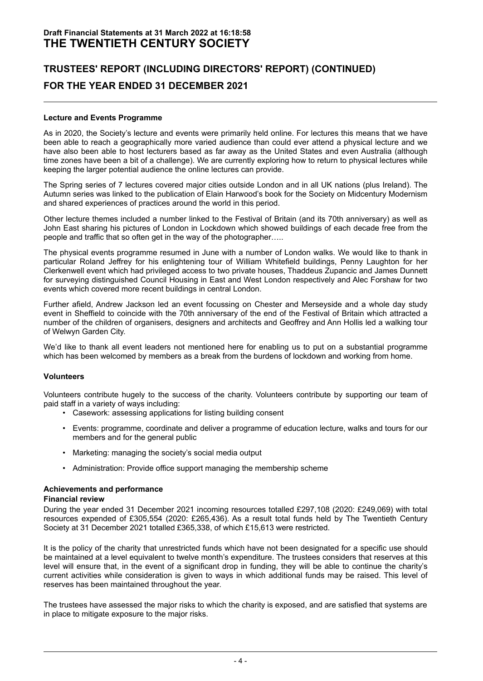# **TRUSTEES' REPORT (INCLUDING DIRECTORS' REPORT) (CONTINUED) FOR THE YEAR ENDED 31 DECEMBER 2021**

#### **Lecture and Events Programme**

As in 2020, the Society's lecture and events were primarily held online. For lectures this means that we have been able to reach a geographically more varied audience than could ever attend a physical lecture and we have also been able to host lecturers based as far away as the United States and even Australia (although time zones have been a bit of a challenge). We are currently exploring how to return to physical lectures while keeping the larger potential audience the online lectures can provide.

The Spring series of 7 lectures covered major cities outside London and in all UK nations (plus Ireland). The Autumn series was linked to the publication of Elain Harwood's book for the Society on Midcentury Modernism and shared experiences of practices around the world in this period.

Other lecture themes included a number linked to the Festival of Britain (and its 70th anniversary) as well as John East sharing his pictures of London in Lockdown which showed buildings of each decade free from the people and traffic that so often get in the way of the photographer…..

The physical events programme resumed in June with a number of London walks. We would like to thank in particular Roland Jeffrey for his enlightening tour of William Whitefield buildings, Penny Laughton for her Clerkenwell event which had privileged access to two private houses, Thaddeus Zupancic and James Dunnett for surveying distinguished Council Housing in East and West London respectively and Alec Forshaw for two events which covered more recent buildings in central London.

Further afield, Andrew Jackson led an event focussing on Chester and Merseyside and a whole day study event in Sheffield to coincide with the 70th anniversary of the end of the Festival of Britain which attracted a number of the children of organisers, designers and architects and Geoffrey and Ann Hollis led a walking tour of Welwyn Garden City.

We'd like to thank all event leaders not mentioned here for enabling us to put on a substantial programme which has been welcomed by members as a break from the burdens of lockdown and working from home.

#### **Volunteers**

Volunteers contribute hugely to the success of the charity. Volunteers contribute by supporting our team of paid staff in a variety of ways including:

- Casework: assessing applications for listing building consent
- Events: programme, coordinate and deliver a programme of education lecture, walks and tours for our members and for the general public
- Marketing: managing the society's social media output
- Administration: Provide office support managing the membership scheme

#### **Achievements and performance**

#### **Financial review**

During the year ended 31 December 2021 incoming resources totalled £297,108 (2020: £249,069) with total resources expended of £305,554 (2020: £265,436). As a result total funds held by The Twentieth Century Society at 31 December 2021 totalled £365,338, of which £15,613 were restricted.

It is the policy of the charity that unrestricted funds which have not been designated for a specific use should be maintained at a level equivalent to twelve month's expenditure. The trustees considers that reserves at this level will ensure that, in the event of a significant drop in funding, they will be able to continue the charity's current activities while consideration is given to ways in which additional funds may be raised. This level of reserves has been maintained throughout the year.

The trustees have assessed the major risks to which the charity is exposed, and are satisfied that systems are in place to mitigate exposure to the major risks.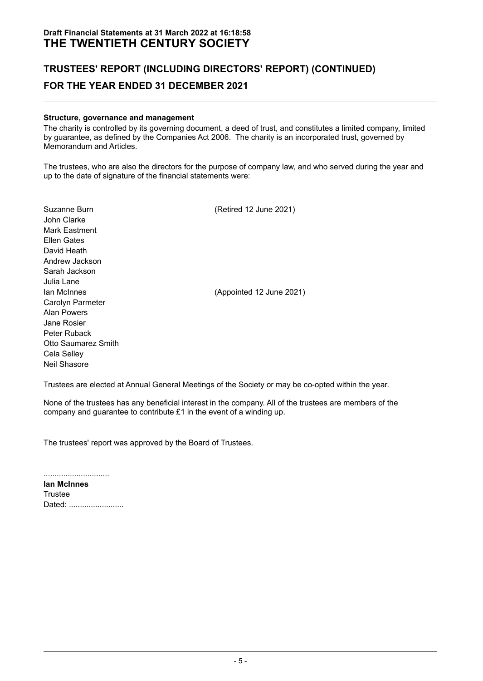# **TRUSTEES' REPORT (INCLUDING DIRECTORS' REPORT) (CONTINUED) FOR THE YEAR ENDED 31 DECEMBER 2021**

#### **Structure, governance and management**

The charity is controlled by its governing document, a deed of trust, and constitutes a limited company, limited by guarantee, as defined by the Companies Act 2006. The charity is an incorporated trust, governed by Memorandum and Articles.

The trustees, who are also the directors for the purpose of company law, and who served during the year and up to the date of signature of the financial statements were:

| Suzanne Burn<br>John Clarke<br><b>Mark Eastment</b><br>Ellen Gates<br>David Heath<br>Andrew Jackson<br>Sarah Jackson                                     | (Retired 12 June 2021)   |
|----------------------------------------------------------------------------------------------------------------------------------------------------------|--------------------------|
| Julia Lane<br>lan McInnes<br>Carolyn Parmeter<br>Alan Powers<br>Jane Rosier<br>Peter Ruback<br>Otto Saumarez Smith<br>Cela Selley<br><b>Neil Shasore</b> | (Appointed 12 June 2021) |

Trustees are elected at Annual General Meetings of the Society or may be co-opted within the year.

None of the trustees has any beneficial interest in the company. All of the trustees are members of the company and guarantee to contribute £1 in the event of a winding up.

The trustees' report was approved by the Board of Trustees.

.............................. **Ian McInnes Trustee** Dated: .........................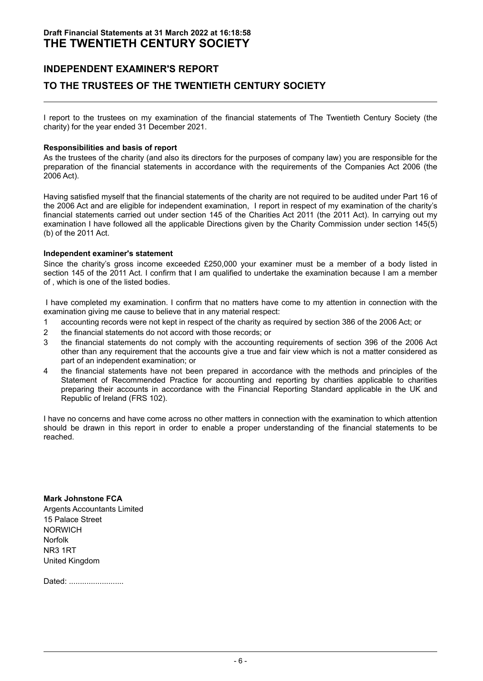### **INDEPENDENT EXAMINER'S REPORT**

### **TO THE TRUSTEES OF THE TWENTIETH CENTURY SOCIETY**

I report to the trustees on my examination of the financial statements of The Twentieth Century Society (the charity) for the year ended 31 December 2021.

#### **Responsibilities and basis of report**

As the trustees of the charity (and also its directors for the purposes of company law) you are responsible for the preparation of the financial statements in accordance with the requirements of the Companies Act 2006 (the 2006 Act).

Having satisfied myself that the financial statements of the charity are not required to be audited under Part 16 of the 2006 Act and are eligible for independent examination, I report in respect of my examination of the charity's financial statements carried out under section 145 of the Charities Act 2011 (the 2011 Act). In carrying out my examination I have followed all the applicable Directions given by the Charity Commission under section 145(5) (b) of the 2011 Act.

#### **Independent examiner's statement**

Since the charity's gross income exceeded £250,000 your examiner must be a member of a body listed in section 145 of the 2011 Act. I confirm that I am qualified to undertake the examination because I am a member of , which is one of the listed bodies.

I have completed my examination. I confirm that no matters have come to my attention in connection with the examination giving me cause to believe that in any material respect:

- 1 accounting records were not kept in respect of the charity as required by section 386 of the 2006 Act; or
- 2 the financial statements do not accord with those records; or
- 3 the financial statements do not comply with the accounting requirements of section 396 of the 2006 Act other than any requirement that the accounts give a true and fair view which is not a matter considered as part of an independent examination; or
- 4 the financial statements have not been prepared in accordance with the methods and principles of the Statement of Recommended Practice for accounting and reporting by charities applicable to charities preparing their accounts in accordance with the Financial Reporting Standard applicable in the UK and Republic of Ireland (FRS 102).

I have no concerns and have come across no other matters in connection with the examination to which attention should be drawn in this report in order to enable a proper understanding of the financial statements to be reached.

**Mark Johnstone FCA**

Argents Accountants Limited 15 Palace Street NORWICH Norfolk NR3 1RT United Kingdom

Dated: ..........................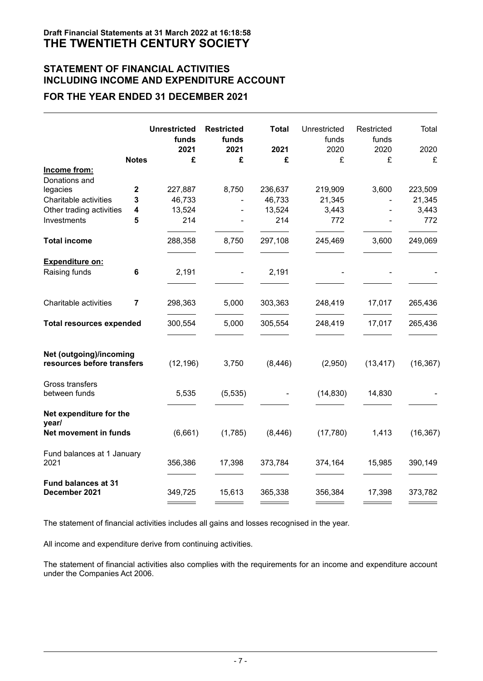## **STATEMENT OF FINANCIAL ACTIVITIES INCLUDING INCOME AND EXPENDITURE ACCOUNT**

# **FOR THE YEAR ENDED 31 DECEMBER 2021**

|                                                       |              | <b>Unrestricted</b><br>funds<br>2021 | <b>Restricted</b><br>funds<br>2021 | <b>Total</b><br>2021 | Unrestricted<br>funds<br>2020 | Restricted<br>funds<br>2020 | Total<br>2020 |
|-------------------------------------------------------|--------------|--------------------------------------|------------------------------------|----------------------|-------------------------------|-----------------------------|---------------|
|                                                       | <b>Notes</b> | £                                    | £                                  | £                    | £                             | £                           | £             |
| Income from:                                          |              |                                      |                                    |                      |                               |                             |               |
| Donations and                                         |              |                                      |                                    |                      |                               |                             |               |
| legacies                                              | $\mathbf{2}$ | 227,887                              | 8,750                              | 236,637              | 219,909                       | 3,600                       | 223,509       |
| Charitable activities                                 | 3            | 46,733                               |                                    | 46,733               | 21,345                        |                             | 21,345        |
| Other trading activities                              | 4            | 13,524                               | ÷,                                 | 13,524               | 3,443                         |                             | 3,443         |
| Investments                                           | 5            | 214                                  |                                    | 214                  | 772                           |                             | 772           |
| <b>Total income</b>                                   |              | 288,358                              | 8,750                              | 297,108              | 245,469                       | 3,600                       | 249,069       |
| Expenditure on:                                       |              |                                      |                                    |                      |                               |                             |               |
| Raising funds                                         | 6            | 2,191                                |                                    | 2,191                |                               |                             |               |
| Charitable activities                                 | 7            | 298,363                              | 5,000                              | 303,363              | 248,419                       | 17,017                      | 265,436       |
| <b>Total resources expended</b>                       |              | 300,554                              | 5,000                              | 305,554              | 248,419                       | 17,017                      | 265,436       |
| Net (outgoing)/incoming<br>resources before transfers |              | (12, 196)                            | 3,750                              | (8, 446)             | (2,950)                       | (13, 417)                   | (16, 367)     |
| Gross transfers<br>between funds                      |              | 5,535                                | (5, 535)                           |                      | (14, 830)                     | 14,830                      |               |
| Net expenditure for the<br>year/                      |              |                                      |                                    |                      |                               |                             |               |
| Net movement in funds                                 |              | (6,661)                              | (1,785)                            | (8, 446)             | (17,780)                      | 1,413                       | (16, 367)     |
| Fund balances at 1 January<br>2021                    |              | 356,386                              | 17,398                             | 373,784              | 374,164                       | 15,985                      | 390,149       |
| <b>Fund balances at 31</b><br>December 2021           |              | 349,725                              | 15,613                             | 365,338              | 356,384                       | 17,398                      | 373,782       |

The statement of financial activities includes all gains and losses recognised in the year.

All income and expenditure derive from continuing activities.

The statement of financial activities also complies with the requirements for an income and expenditure account under the Companies Act 2006.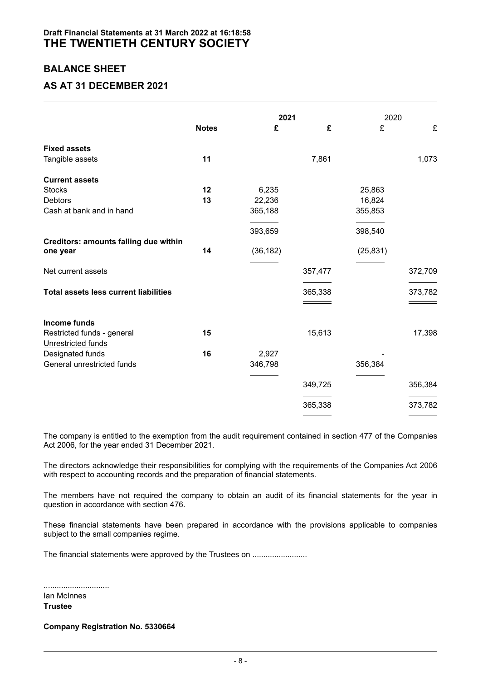### **BALANCE SHEET**

### **AS AT 31 DECEMBER 2021**

|                                              |              |           | 2021    |           | 2020    |
|----------------------------------------------|--------------|-----------|---------|-----------|---------|
|                                              | <b>Notes</b> | £         | £       | £         | £       |
| <b>Fixed assets</b>                          |              |           |         |           |         |
| Tangible assets                              | 11           |           | 7,861   |           | 1,073   |
| <b>Current assets</b>                        |              |           |         |           |         |
| <b>Stocks</b>                                | 12           | 6,235     |         | 25,863    |         |
| <b>Debtors</b>                               | 13           | 22,236    |         | 16,824    |         |
| Cash at bank and in hand                     |              | 365,188   |         | 355,853   |         |
|                                              |              | 393,659   |         | 398,540   |         |
| <b>Creditors: amounts falling due within</b> |              |           |         |           |         |
| one year                                     | 14           | (36, 182) |         | (25, 831) |         |
| Net current assets                           |              |           | 357,477 |           | 372,709 |
| <b>Total assets less current liabilities</b> |              |           | 365,338 |           | 373,782 |
|                                              |              |           |         |           |         |
| Income funds                                 |              |           |         |           |         |
| Restricted funds - general                   | 15           |           | 15,613  |           | 17,398  |
| Unrestricted funds                           |              |           |         |           |         |
| Designated funds                             | 16           | 2,927     |         |           |         |
| General unrestricted funds                   |              | 346,798   |         | 356,384   |         |
|                                              |              |           | 349,725 |           | 356,384 |
|                                              |              |           |         |           |         |
|                                              |              |           | 365,338 |           | 373,782 |

The company is entitled to the exemption from the audit requirement contained in section 477 of the Companies Act 2006, for the year ended 31 December 2021.

The directors acknowledge their responsibilities for complying with the requirements of the Companies Act 2006 with respect to accounting records and the preparation of financial statements.

The members have not required the company to obtain an audit of its financial statements for the year in question in accordance with section 476.

These financial statements have been prepared in accordance with the provisions applicable to companies subject to the small companies regime.

The financial statements were approved by the Trustees on .......................

..............................

Ian McInnes **Trustee**

**Company Registration No. 5330664**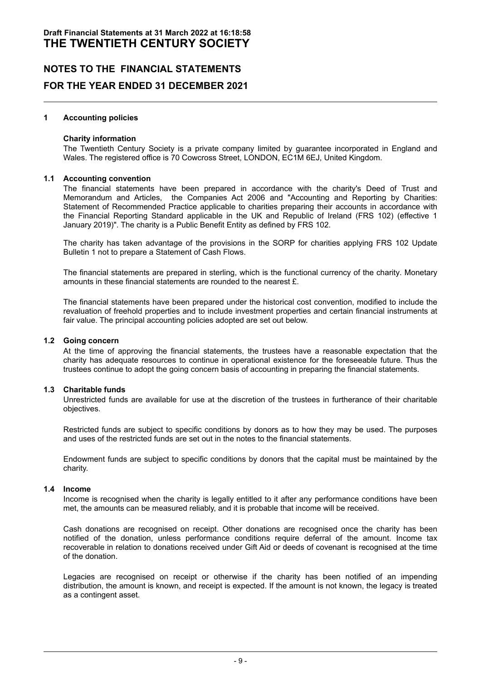#### **1 Accounting policies**

#### **Charity information**

The Twentieth Century Society is a private company limited by guarantee incorporated in England and Wales. The registered office is 70 Cowcross Street, LONDON, EC1M 6EJ, United Kingdom.

#### **1.1 Accounting convention**

The financial statements have been prepared in accordance with the charity's Deed of Trust and Memorandum and Articles, the Companies Act 2006 and "Accounting and Reporting by Charities: Statement of Recommended Practice applicable to charities preparing their accounts in accordance with the Financial Reporting Standard applicable in the UK and Republic of Ireland (FRS 102) (effective 1 January 2019)". The charity is a Public Benefit Entity as defined by FRS 102.

The charity has taken advantage of the provisions in the SORP for charities applying FRS 102 Update Bulletin 1 not to prepare a Statement of Cash Flows.

The financial statements are prepared in sterling, which is the functional currency of the charity. Monetary amounts in these financial statements are rounded to the nearest £.

The financial statements have been prepared under the historical cost convention, modified to include the revaluation of freehold properties and to include investment properties and certain financial instruments at fair value. The principal accounting policies adopted are set out below.

#### **1.2 Going concern**

At the time of approving the financial statements, the trustees have a reasonable expectation that the charity has adequate resources to continue in operational existence for the foreseeable future. Thus the trustees continue to adopt the going concern basis of accounting in preparing the financial statements.

#### **1.3 Charitable funds**

Unrestricted funds are available for use at the discretion of the trustees in furtherance of their charitable objectives.

Restricted funds are subject to specific conditions by donors as to how they may be used. The purposes and uses of the restricted funds are set out in the notes to the financial statements.

Endowment funds are subject to specific conditions by donors that the capital must be maintained by the charity.

#### **1.4 Income**

Income is recognised when the charity is legally entitled to it after any performance conditions have been met, the amounts can be measured reliably, and it is probable that income will be received.

Cash donations are recognised on receipt. Other donations are recognised once the charity has been notified of the donation, unless performance conditions require deferral of the amount. Income tax recoverable in relation to donations received under Gift Aid or deeds of covenant is recognised at the time of the donation.

Legacies are recognised on receipt or otherwise if the charity has been notified of an impending distribution, the amount is known, and receipt is expected. If the amount is not known, the legacy is treated as a contingent asset.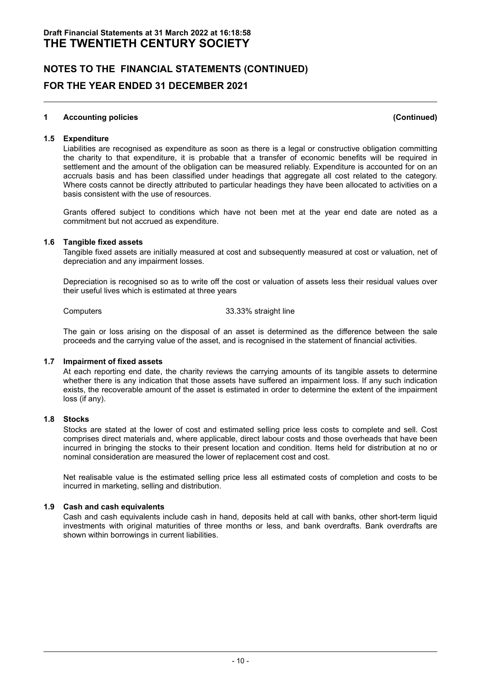#### **1 Accounting policies (Continued)**

#### **1.5 Expenditure**

Liabilities are recognised as expenditure as soon as there is a legal or constructive obligation committing the charity to that expenditure, it is probable that a transfer of economic benefits will be required in settlement and the amount of the obligation can be measured reliably. Expenditure is accounted for on an accruals basis and has been classified under headings that aggregate all cost related to the category. Where costs cannot be directly attributed to particular headings they have been allocated to activities on a basis consistent with the use of resources.

Grants offered subject to conditions which have not been met at the year end date are noted as a commitment but not accrued as expenditure.

#### **1.6 Tangible fixed assets**

Tangible fixed assets are initially measured at cost and subsequently measured at cost or valuation, net of depreciation and any impairment losses.

Depreciation is recognised so as to write off the cost or valuation of assets less their residual values over their useful lives which is estimated at three years

Computers 33.33% straight line

The gain or loss arising on the disposal of an asset is determined as the difference between the sale proceeds and the carrying value of the asset, and is recognised in the statement of financial activities.

#### **1.7 Impairment of fixed assets**

At each reporting end date, the charity reviews the carrying amounts of its tangible assets to determine whether there is any indication that those assets have suffered an impairment loss. If any such indication exists, the recoverable amount of the asset is estimated in order to determine the extent of the impairment loss (if any).

#### **1.8 Stocks**

Stocks are stated at the lower of cost and estimated selling price less costs to complete and sell. Cost comprises direct materials and, where applicable, direct labour costs and those overheads that have been incurred in bringing the stocks to their present location and condition. Items held for distribution at no or nominal consideration are measured the lower of replacement cost and cost.

Net realisable value is the estimated selling price less all estimated costs of completion and costs to be incurred in marketing, selling and distribution.

#### **1.9 Cash and cash equivalents**

Cash and cash equivalents include cash in hand, deposits held at call with banks, other short-term liquid investments with original maturities of three months or less, and bank overdrafts. Bank overdrafts are shown within borrowings in current liabilities.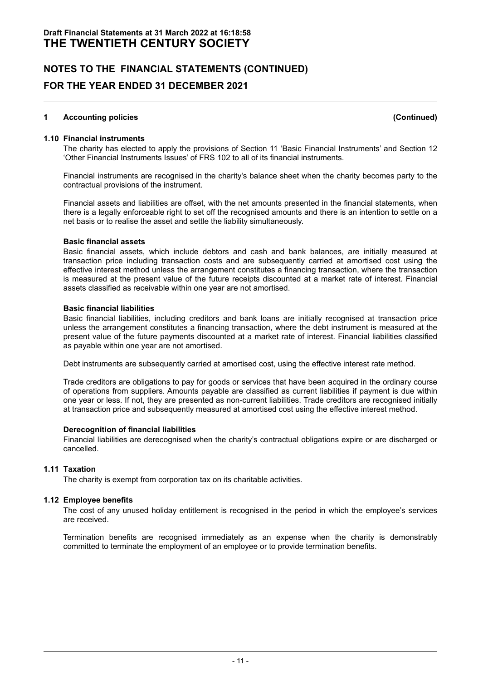#### **1 Accounting policies (Continued)**

#### **1.10 Financial instruments**

The charity has elected to apply the provisions of Section 11 'Basic Financial Instruments' and Section 12 'Other Financial Instruments Issues' of FRS 102 to all of its financial instruments.

Financial instruments are recognised in the charity's balance sheet when the charity becomes party to the contractual provisions of the instrument.

Financial assets and liabilities are offset, with the net amounts presented in the financial statements, when there is a legally enforceable right to set off the recognised amounts and there is an intention to settle on a net basis or to realise the asset and settle the liability simultaneously.

#### **Basic financial assets**

Basic financial assets, which include debtors and cash and bank balances, are initially measured at transaction price including transaction costs and are subsequently carried at amortised cost using the effective interest method unless the arrangement constitutes a financing transaction, where the transaction is measured at the present value of the future receipts discounted at a market rate of interest. Financial assets classified as receivable within one year are not amortised.

#### **Basic financial liabilities**

Basic financial liabilities, including creditors and bank loans are initially recognised at transaction price unless the arrangement constitutes a financing transaction, where the debt instrument is measured at the present value of the future payments discounted at a market rate of interest. Financial liabilities classified as payable within one year are not amortised.

Debt instruments are subsequently carried at amortised cost, using the effective interest rate method.

Trade creditors are obligations to pay for goods or services that have been acquired in the ordinary course of operations from suppliers. Amounts payable are classified as current liabilities if payment is due within one year or less. If not, they are presented as non-current liabilities. Trade creditors are recognised initially at transaction price and subsequently measured at amortised cost using the effective interest method.

#### **Derecognition of financial liabilities**

Financial liabilities are derecognised when the charity's contractual obligations expire or are discharged or cancelled.

#### **1.11 Taxation**

The charity is exempt from corporation tax on its charitable activities.

#### **1.12 Employee benefits**

The cost of any unused holiday entitlement is recognised in the period in which the employee's services are received.

Termination benefits are recognised immediately as an expense when the charity is demonstrably committed to terminate the employment of an employee or to provide termination benefits.

- 11 -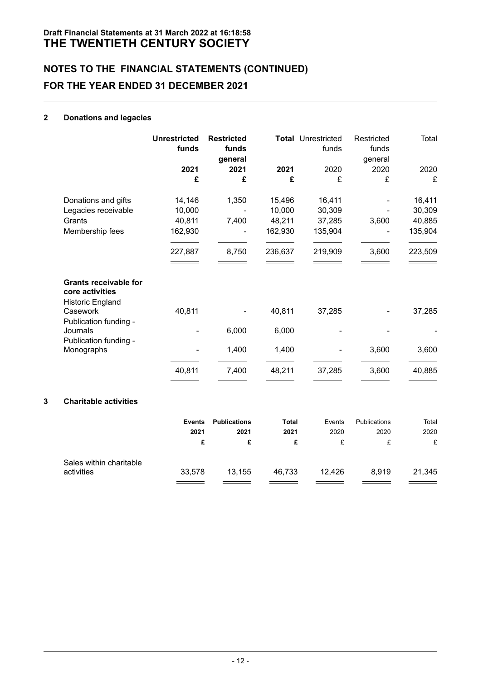#### **2 Donations and legacies**

|   |                                                                                        | <b>Unrestricted</b><br>funds | <b>Restricted</b><br>funds<br>general |              | <b>Total Unrestricted</b><br>funds | Restricted<br>funds<br>general | Total   |
|---|----------------------------------------------------------------------------------------|------------------------------|---------------------------------------|--------------|------------------------------------|--------------------------------|---------|
|   |                                                                                        | 2021                         | 2021                                  | 2021         | 2020                               | 2020                           | 2020    |
|   |                                                                                        | £                            | £                                     | £            | £                                  | £                              | £       |
|   | Donations and gifts                                                                    | 14,146                       | 1,350                                 | 15,496       | 16,411                             |                                | 16,411  |
|   | Legacies receivable                                                                    | 10,000                       |                                       | 10,000       | 30,309                             |                                | 30,309  |
|   | Grants                                                                                 | 40,811                       | 7,400                                 | 48,211       | 37,285                             | 3,600                          | 40,885  |
|   | Membership fees                                                                        | 162,930                      |                                       | 162,930      | 135,904                            |                                | 135,904 |
|   |                                                                                        | 227,887                      | 8,750                                 | 236,637      | 219,909                            | 3,600                          | 223,509 |
|   | <b>Grants receivable for</b><br>core activities<br><b>Historic England</b><br>Casework | 40,811                       |                                       | 40,811       | 37,285                             |                                | 37,285  |
|   | Publication funding -<br>Journals                                                      |                              | 6,000                                 | 6,000        |                                    |                                |         |
|   | Publication funding -<br>Monographs                                                    |                              | 1,400                                 | 1,400        |                                    | 3,600                          | 3,600   |
|   |                                                                                        | 40,811                       | 7,400                                 | 48,211       | 37,285                             | 3,600                          | 40,885  |
| 3 | <b>Charitable activities</b>                                                           |                              |                                       |              |                                    |                                |         |
|   |                                                                                        | <b>Events</b>                | <b>Publications</b>                   | <b>Total</b> | Events                             | Publications                   | Total   |
|   |                                                                                        | 2021                         | 2021                                  | 2021         | 2020                               | 2020                           | 2020    |
|   |                                                                                        | £                            | £                                     | £            | £                                  | £                              | £       |
|   | Sales within charitable                                                                |                              |                                       |              |                                    |                                |         |
|   | activities                                                                             | 33,578                       | 13,155                                | 46,733       | 12,426                             | 8,919                          | 21,345  |

 $\equiv$ 

 $\equiv$ 

÷

 $\equiv$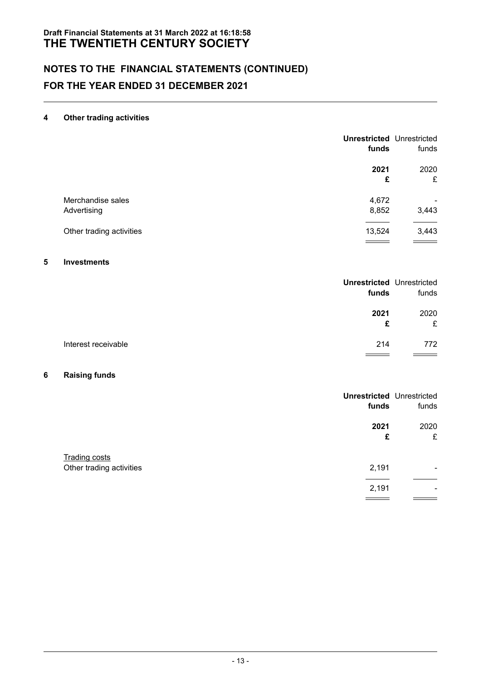#### **4 Other trading activities**

|                          | <b>Unrestricted Unrestricted</b><br>funds | funds |
|--------------------------|-------------------------------------------|-------|
|                          | 2021                                      | 2020  |
|                          | £                                         | £     |
| Merchandise sales        | 4,672                                     | ۰     |
| Advertising              | 8,852                                     | 3,443 |
| Other trading activities | 13,524                                    | 3,443 |
|                          |                                           |       |

### **5 Investments**

| <b>Unrestricted Unrestricted</b><br>funds | funds     |
|-------------------------------------------|-----------|
| 2021<br>£                                 | 2020<br>£ |
| Interest receivable<br>214                | 772       |

#### **6 Raising funds**

|                                                  | <b>Unrestricted Unrestricted</b><br>funds | funds     |
|--------------------------------------------------|-------------------------------------------|-----------|
|                                                  | 2021<br>£                                 | 2020<br>£ |
| <b>Trading costs</b><br>Other trading activities | 2,191                                     | ۰         |
|                                                  | 2,191                                     | ۰         |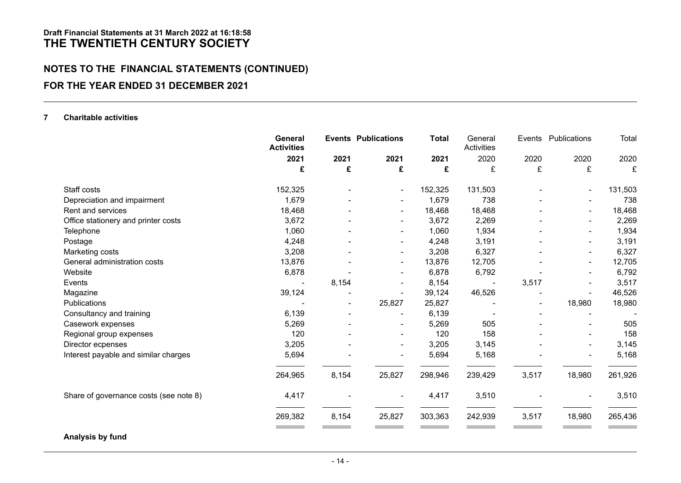# **NOTES TO THE FINANCIAL STATEMENTS (CONTINUED) FOR THE YEAR ENDED 31 DECEMBER 2021**

#### **7 Charitable activities**

|                                        | General<br><b>Activities</b> |       | <b>Events Publications</b> | <b>Total</b> | General<br>Activities |       | Events Publications      | Total   |
|----------------------------------------|------------------------------|-------|----------------------------|--------------|-----------------------|-------|--------------------------|---------|
|                                        | 2021                         | 2021  | 2021                       | 2021         | 2020                  | 2020  | 2020                     | 2020    |
|                                        | £                            | £     | £                          | £            | £                     | £     | £                        | £       |
| Staff costs                            | 152,325                      |       | ۰                          | 152,325      | 131,503               |       | $\overline{\phantom{a}}$ | 131,503 |
| Depreciation and impairment            | 1,679                        |       |                            | 1,679        | 738                   |       |                          | 738     |
| Rent and services                      | 18,468                       |       |                            | 18,468       | 18,468                |       | ۰                        | 18,468  |
| Office stationery and printer costs    | 3,672                        |       |                            | 3,672        | 2,269                 |       | ۰                        | 2,269   |
| Telephone                              | 1,060                        |       | ۰                          | 1,060        | 1,934                 |       | $\blacksquare$           | 1,934   |
| Postage                                | 4,248                        |       |                            | 4,248        | 3,191                 |       | $\overline{a}$           | 3,191   |
| Marketing costs                        | 3,208                        |       | ۰                          | 3,208        | 6,327                 |       | ۰                        | 6,327   |
| General administration costs           | 13,876                       |       | ۰                          | 13,876       | 12,705                |       | $\blacksquare$           | 12,705  |
| Website                                | 6,878                        |       |                            | 6,878        | 6,792                 |       |                          | 6,792   |
| Events                                 |                              | 8,154 | $\overline{\phantom{a}}$   | 8,154        |                       | 3,517 | ۰                        | 3,517   |
| Magazine                               | 39,124                       |       |                            | 39,124       | 46,526                |       |                          | 46,526  |
| <b>Publications</b>                    |                              | ۰     | 25,827                     | 25,827       |                       | ٠     | 18,980                   | 18,980  |
| Consultancy and training               | 6,139                        |       |                            | 6,139        |                       |       |                          |         |
| Casework expenses                      | 5,269                        |       |                            | 5,269        | 505                   |       | -                        | 505     |
| Regional group expenses                | 120                          |       |                            | 120          | 158                   |       | $\blacksquare$           | 158     |
| Director ecpenses                      | 3,205                        |       | ٠                          | 3,205        | 3,145                 |       | $\blacksquare$           | 3,145   |
| Interest payable and similar charges   | 5,694                        |       |                            | 5,694        | 5,168                 |       |                          | 5,168   |
|                                        | 264,965                      | 8,154 | 25,827                     | 298,946      | 239,429               | 3,517 | 18,980                   | 261,926 |
| Share of governance costs (see note 8) | 4,417                        |       |                            | 4,417        | 3,510                 |       |                          | 3,510   |
|                                        | 269,382                      | 8,154 | 25,827                     | 303,363      | 242,939               | 3,517 | 18,980                   | 265,436 |
|                                        |                              |       |                            |              |                       |       |                          |         |

**Analysis by fund**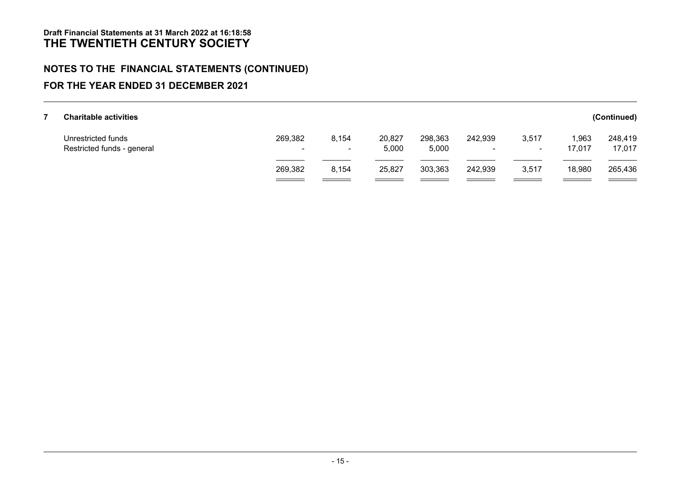# **NOTES TO THE FINANCIAL STATEMENTS (CONTINUED)**

### **FOR THE YEAR ENDED 31 DECEMBER 2021**

| <b>Charitable activities</b>                     |               |                 |                 |                  |                                     |                 |                 | (Continued)       |
|--------------------------------------------------|---------------|-----------------|-----------------|------------------|-------------------------------------|-----------------|-----------------|-------------------|
| Unrestricted funds<br>Restricted funds - general | 269,382<br>۰. | 8,154<br>$\sim$ | 20,827<br>5,000 | 298,363<br>5,000 | 242,939<br>$\overline{\phantom{0}}$ | 3,517<br>$\sim$ | 1,963<br>17,017 | 248,419<br>17,017 |
|                                                  | 269,382       | 8,154           | 25,827          | 303,363          | 242,939                             | 3,517           | 18,980          | 265,436           |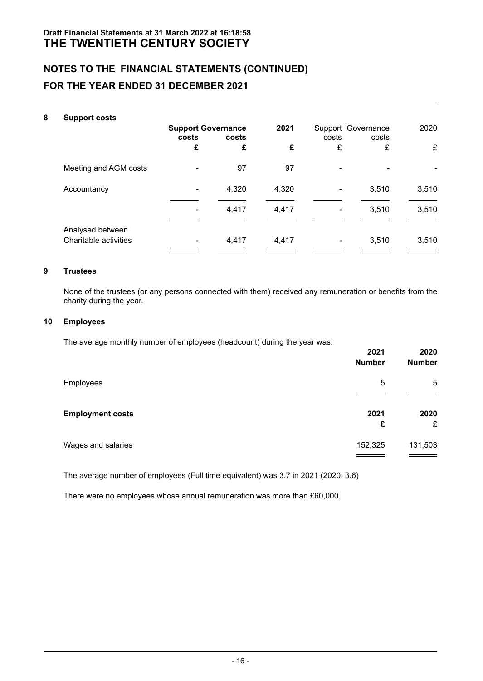| 8 | <b>Support costs</b>  |                                             |       |       |                                      |       |       |
|---|-----------------------|---------------------------------------------|-------|-------|--------------------------------------|-------|-------|
|   |                       | <b>Support Governance</b><br>costs<br>costs |       | 2021  | Support Governance<br>costs<br>costs |       | 2020  |
|   |                       | £                                           | £     | £     | £                                    | £     | £     |
|   | Meeting and AGM costs |                                             | 97    | 97    |                                      |       |       |
|   | Accountancy           |                                             | 4,320 | 4,320 |                                      | 3,510 | 3,510 |
|   |                       |                                             | 4,417 | 4,417 |                                      | 3,510 | 3,510 |
|   | Analysed between      |                                             |       |       |                                      |       |       |
|   | Charitable activities | ۰                                           | 4,417 | 4,417 | ۰                                    | 3,510 | 3,510 |

### **9 Trustees**

None of the trustees (or any persons connected with them) received any remuneration or benefits from the charity during the year.

#### **10 Employees**

The average monthly number of employees (headcount) during the year was:

|                         | 2021<br><b>Number</b> | 2020<br><b>Number</b> |
|-------------------------|-----------------------|-----------------------|
| Employees               | 5                     | 5                     |
| <b>Employment costs</b> | 2021<br>£             | 2020<br>£             |
| Wages and salaries      | 152,325               | 131,503               |

The average number of employees (Full time equivalent) was 3.7 in 2021 (2020: 3.6)

There were no employees whose annual remuneration was more than £60,000.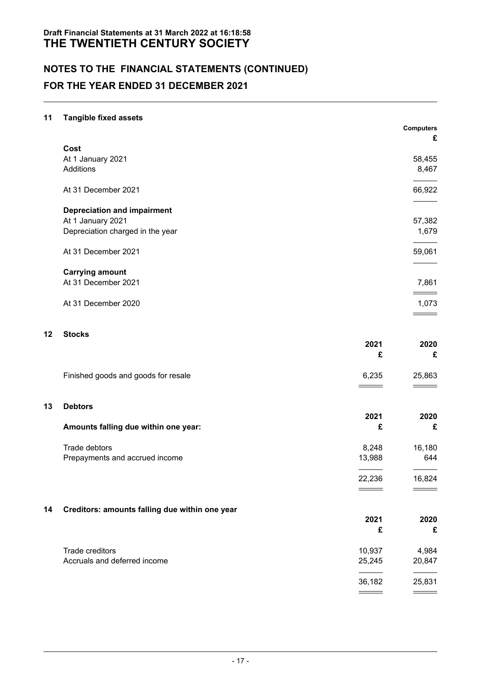# **NOTES TO THE FINANCIAL STATEMENTS (CONTINUED) FOR THE YEAR ENDED 31 DECEMBER 2021**

#### **11 Tangible fixed assets**

|                                    | <b>Computers</b> |
|------------------------------------|------------------|
|                                    | £                |
| Cost                               |                  |
| At 1 January 2021                  | 58,455           |
| Additions                          | 8,467            |
| At 31 December 2021                | 66,922           |
| <b>Depreciation and impairment</b> |                  |
| At 1 January 2021                  | 57,382           |
| Depreciation charged in the year   | 1,679            |
| At 31 December 2021                | 59,061           |
| <b>Carrying amount</b>             |                  |
| At 31 December 2021                | 7,861            |
| At 31 December 2020                | 1,073            |
|                                    |                  |

#### **12 Stocks**

|                                     | 2021  | 2020<br>£ |
|-------------------------------------|-------|-----------|
| Finished goods and goods for resale | 6.235 | 25,863    |

#### **13 Debtors**

|                                      | 2021   | 2020   |  |
|--------------------------------------|--------|--------|--|
| Amounts falling due within one year: |        | £      |  |
| Trade debtors                        | 8.248  | 16,180 |  |
| Prepayments and accrued income       | 13.988 | 644    |  |
|                                      | 22.236 | 16.824 |  |

 $\qquad \qquad \overbrace{\qquad \qquad }$ 

 $\overline{\phantom{0}}$ 

### **14 Creditors: amounts falling due within one year**

| -                            | 2021   | 2020   |
|------------------------------|--------|--------|
| -                            | £      | £      |
| Trade creditors              | 10,937 | 4,984  |
| Accruals and deferred income | 25,245 | 20,847 |
|                              | 36,182 | 25,831 |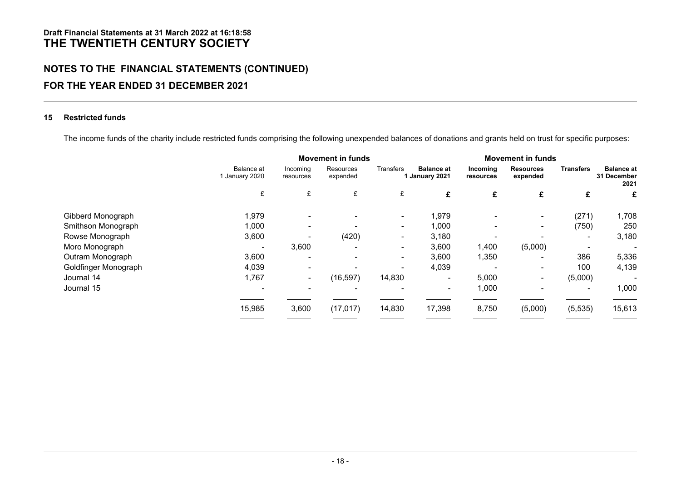# **NOTES TO THE FINANCIAL STATEMENTS (CONTINUED) FOR THE YEAR ENDED 31 DECEMBER 2021**

#### **15 Restricted funds**

The income funds of the charity include restricted funds comprising the following unexpended balances of donations and grants held on trust for specific purposes:

|                      |                            | <b>Movement in funds</b> |                       |           |                                     | <b>Movement in funds</b> |                              |                          |                                          |
|----------------------|----------------------------|--------------------------|-----------------------|-----------|-------------------------------------|--------------------------|------------------------------|--------------------------|------------------------------------------|
|                      | Balance at<br>January 2020 | Incoming<br>resources    | Resources<br>expended | Transfers | <b>Balance at</b><br>1 January 2021 | Incoming<br>resources    | <b>Resources</b><br>expended | <b>Transfers</b>         | <b>Balance at</b><br>31 December<br>2021 |
|                      | £                          | £                        | £                     | £         | £                                   | £                        | £                            | £                        | £                                        |
| Gibberd Monograph    | 1,979                      |                          |                       |           | 1,979                               |                          | ۰                            | (271)                    | 1,708                                    |
| Smithson Monograph   | 1,000                      |                          |                       | ۰         | 1,000                               |                          | $\sim$                       | (750)                    | 250                                      |
| Rowse Monograph      | 3,600                      |                          | (420)                 | ۰         | 3,180                               |                          |                              | $\overline{\phantom{a}}$ | 3,180                                    |
| Moro Monograph       |                            | 3,600                    |                       | ۰         | 3,600                               | 1,400                    | (5,000)                      |                          |                                          |
| Outram Monograph     | 3,600                      |                          |                       | ٠         | 3,600                               | 1,350                    | $\overline{\phantom{0}}$     | 386                      | 5,336                                    |
| Goldfinger Monograph | 4,039                      |                          |                       |           | 4,039                               |                          | ۰                            | 100                      | 4,139                                    |
| Journal 14           | 1,767                      |                          | (16, 597)             | 14,830    | ٠                                   | 5,000                    | ۰                            | (5,000)                  |                                          |
| Journal 15           |                            |                          |                       |           | ۰                                   | 1,000                    |                              |                          | 1,000                                    |
|                      | 15,985                     | 3,600                    | (17, 017)             | 14,830    | 17,398                              | 8,750                    | (5,000)                      | (5, 535)                 | 15,613                                   |
|                      |                            |                          |                       |           |                                     |                          |                              |                          |                                          |